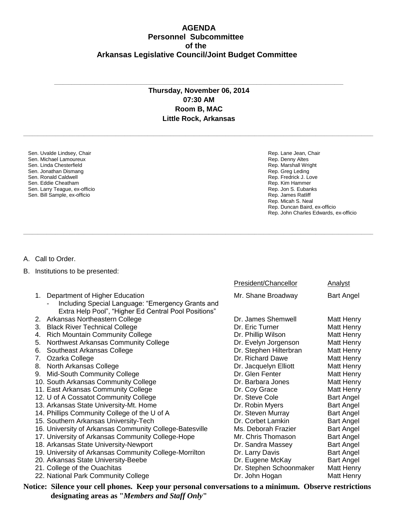## **AGENDA Personnel Subcommittee of the Arkansas Legislative Council/Joint Budget Committee**

## **Thursday, November 06, 2014 07:30 AM Room B, MAC Little Rock, Arkansas**

**\_\_\_\_\_\_\_\_\_\_\_\_\_\_\_\_\_\_\_\_\_\_\_\_\_\_\_\_\_\_\_\_\_\_\_\_\_\_\_\_\_\_\_\_\_\_\_\_\_\_\_\_\_\_\_\_\_\_\_\_\_\_\_\_\_\_\_\_\_\_\_\_\_\_\_\_\_\_\_\_\_\_\_\_\_\_\_\_\_\_\_\_\_\_\_\_\_\_\_\_\_\_\_\_\_\_\_\_\_\_\_\_\_\_\_\_\_\_\_\_\_**

**\_\_\_\_\_\_\_\_\_\_\_\_\_\_\_\_\_\_\_\_\_\_\_\_\_\_\_\_\_\_\_\_\_\_\_\_\_\_\_\_\_\_\_\_\_\_\_\_\_\_\_\_\_\_\_\_\_\_\_\_\_\_\_\_\_\_\_\_\_\_\_\_\_\_\_\_\_\_\_\_\_\_\_\_\_\_\_\_\_\_\_\_\_\_\_\_\_\_\_\_\_\_\_\_\_\_\_\_\_\_\_\_\_\_\_\_\_\_\_\_\_**

**\_\_\_\_\_\_\_\_\_\_\_\_\_\_\_\_\_\_\_\_\_\_\_\_\_\_\_\_\_\_\_\_\_\_\_\_\_\_\_\_\_\_\_\_\_\_\_\_\_\_\_\_\_\_\_\_\_\_\_\_\_\_\_\_\_\_\_\_\_\_\_\_\_\_\_\_\_\_\_\_\_\_\_\_\_\_\_\_\_\_\_\_\_\_\_\_\_\_\_\_**

Sen. Uvalde Lindsey, Chair Sen. Michael Lamoureux Sen. Linda Chesterfield Sen. Jonathan Dismang Sen. Ronald Caldwell Sen. Eddie Cheatham Sen. Larry Teague, ex-officio Sen. Bill Sample, ex-officio

Rep. Lane Jean, Chair Rep. Denny Altes Rep. Marshall Wright Rep. Greg Leding Rep. Fredrick J. Love Rep. Kim Hammer Rep. Jon S. Eubanks Rep. James Ratliff Rep. Micah S. Neal Rep. Duncan Baird, ex-officio Rep. John Charles Edwards, ex-officio

A. Call to Order.

B. Institutions to be presented:

|                                                                                                                                                   | President/Chancellor    | Analyst           |
|---------------------------------------------------------------------------------------------------------------------------------------------------|-------------------------|-------------------|
| Department of Higher Education<br>1.<br>Including Special Language: "Emergency Grants and<br>Extra Help Pool", "Higher Ed Central Pool Positions" | Mr. Shane Broadway      | <b>Bart Angel</b> |
| 2. Arkansas Northeastern College                                                                                                                  | Dr. James Shemwell      | Matt Henry        |
| <b>Black River Technical College</b><br>3.                                                                                                        | Dr. Eric Turner         | Matt Henry        |
| <b>Rich Mountain Community College</b><br>4.                                                                                                      | Dr. Phillip Wilson      | Matt Henry        |
| Northwest Arkansas Community College<br>5.                                                                                                        | Dr. Evelyn Jorgenson    | Matt Henry        |
| Southeast Arkansas College<br>6.                                                                                                                  | Dr. Stephen Hilterbran  | Matt Henry        |
| Ozarka College<br>7.                                                                                                                              | Dr. Richard Dawe        | Matt Henry        |
| North Arkansas College<br>8.                                                                                                                      | Dr. Jacquelyn Elliott   | Matt Henry        |
| Mid-South Community College<br>9.                                                                                                                 | Dr. Glen Fenter         | Matt Henry        |
| 10. South Arkansas Community College                                                                                                              | Dr. Barbara Jones       | Matt Henry        |
| 11. East Arkansas Community College                                                                                                               | Dr. Coy Grace           | Matt Henry        |
| 12. U of A Cossatot Community College                                                                                                             | Dr. Steve Cole          | <b>Bart Angel</b> |
| 13. Arkansas State University-Mt. Home                                                                                                            | Dr. Robin Myers         | <b>Bart Angel</b> |
| 14. Phillips Community College of the U of A                                                                                                      | Dr. Steven Murray       | <b>Bart Angel</b> |
| 15. Southern Arkansas University-Tech                                                                                                             | Dr. Corbet Lamkin       | <b>Bart Angel</b> |
| 16. University of Arkansas Community College-Batesville                                                                                           | Ms. Deborah Frazier     | <b>Bart Angel</b> |
| 17. University of Arkansas Community College-Hope                                                                                                 | Mr. Chris Thomason      | <b>Bart Angel</b> |
| 18. Arkansas State University-Newport                                                                                                             | Dr. Sandra Massey       | <b>Bart Angel</b> |
| 19. University of Arkansas Community College-Morrilton                                                                                            | Dr. Larry Davis         | <b>Bart Angel</b> |
| 20. Arkansas State University-Beebe                                                                                                               | Dr. Eugene McKay        | <b>Bart Angel</b> |
| 21. College of the Ouachitas                                                                                                                      | Dr. Stephen Schoonmaker | Matt Henry        |
| 22. National Park Community College                                                                                                               | Dr. John Hogan          | Matt Henry        |

**Notice: Silence your cell phones. Keep your personal conversations to a minimum. Observe restrictions designating areas as "***Members and Staff Only***"**